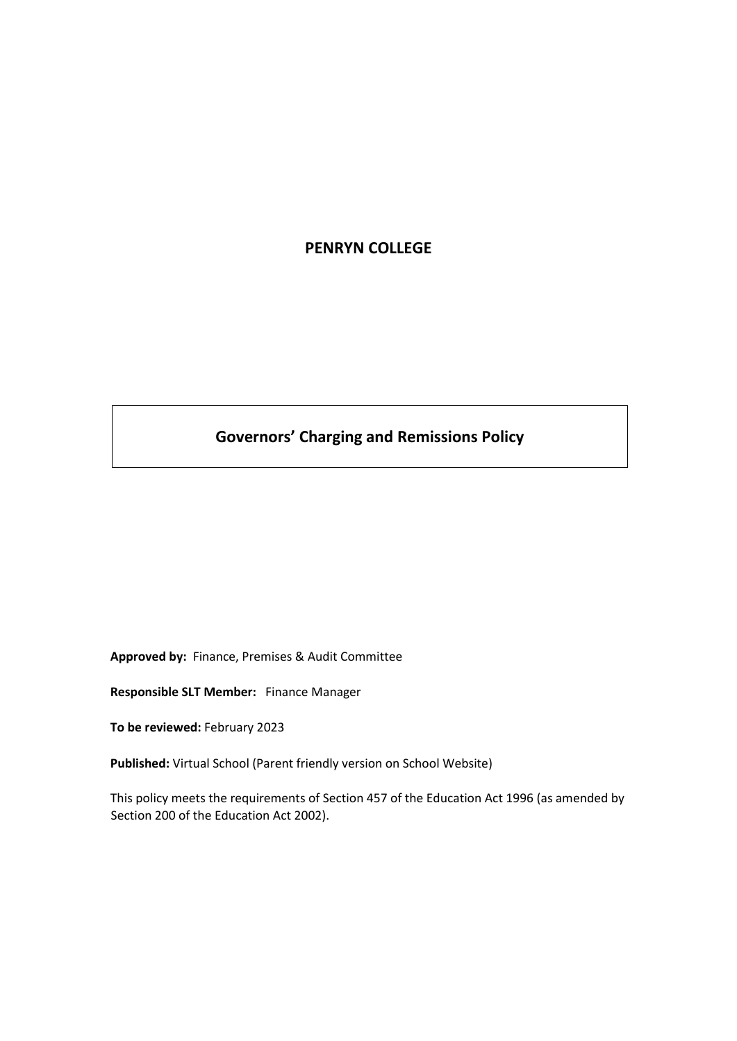# **PENRYN COLLEGE**

# **Governors' Charging and Remissions Policy**

**Approved by:** Finance, Premises & Audit Committee

**Responsible SLT Member:** Finance Manager

**To be reviewed:** February 2023

**Published:** Virtual School (Parent friendly version on School Website)

This policy meets the requirements of Section 457 of the Education Act 1996 (as amended by Section 200 of the Education Act 2002).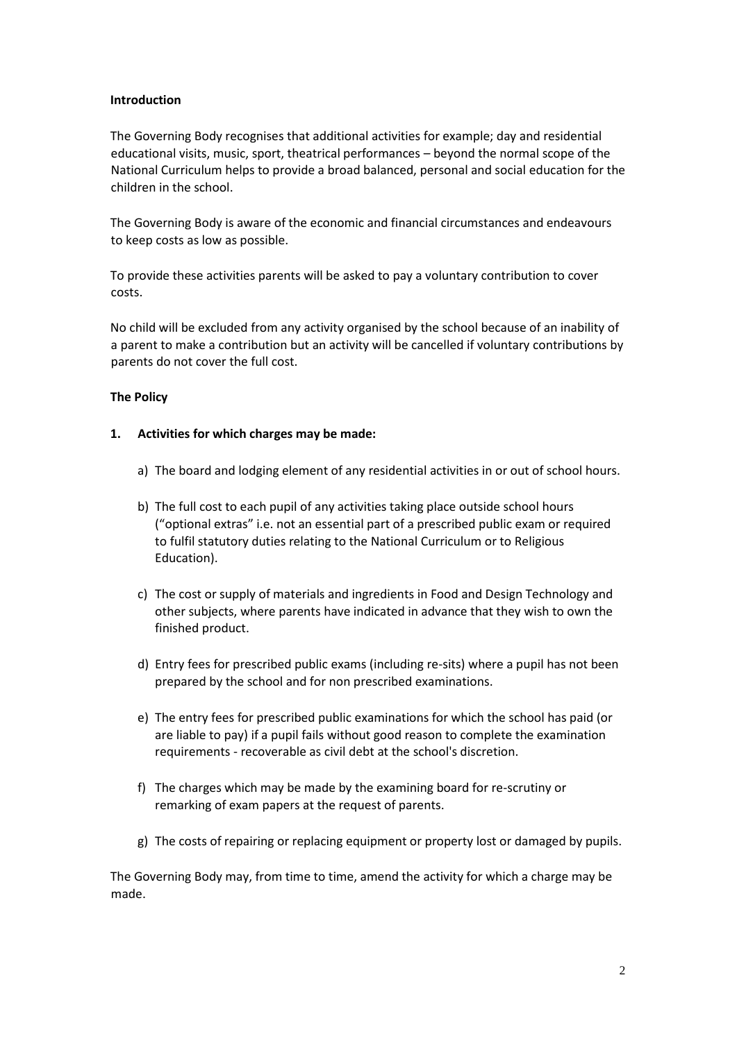#### **Introduction**

The Governing Body recognises that additional activities for example; day and residential educational visits, music, sport, theatrical performances – beyond the normal scope of the National Curriculum helps to provide a broad balanced, personal and social education for the children in the school.

The Governing Body is aware of the economic and financial circumstances and endeavours to keep costs as low as possible.

To provide these activities parents will be asked to pay a voluntary contribution to cover costs.

No child will be excluded from any activity organised by the school because of an inability of a parent to make a contribution but an activity will be cancelled if voluntary contributions by parents do not cover the full cost.

#### **The Policy**

#### **1. Activities for which charges may be made:**

- a) The board and lodging element of any residential activities in or out of school hours.
- b) The full cost to each pupil of any activities taking place outside school hours ("optional extras" i.e. not an essential part of a prescribed public exam or required to fulfil statutory duties relating to the National Curriculum or to Religious Education).
- c) The cost or supply of materials and ingredients in Food and Design Technology and other subjects, where parents have indicated in advance that they wish to own the finished product.
- d) Entry fees for prescribed public exams (including re-sits) where a pupil has not been prepared by the school and for non prescribed examinations.
- e) The entry fees for prescribed public examinations for which the school has paid (or are liable to pay) if a pupil fails without good reason to complete the examination requirements - recoverable as civil debt at the school's discretion.
- f) The charges which may be made by the examining board for re-scrutiny or remarking of exam papers at the request of parents.
- g) The costs of repairing or replacing equipment or property lost or damaged by pupils.

The Governing Body may, from time to time, amend the activity for which a charge may be made.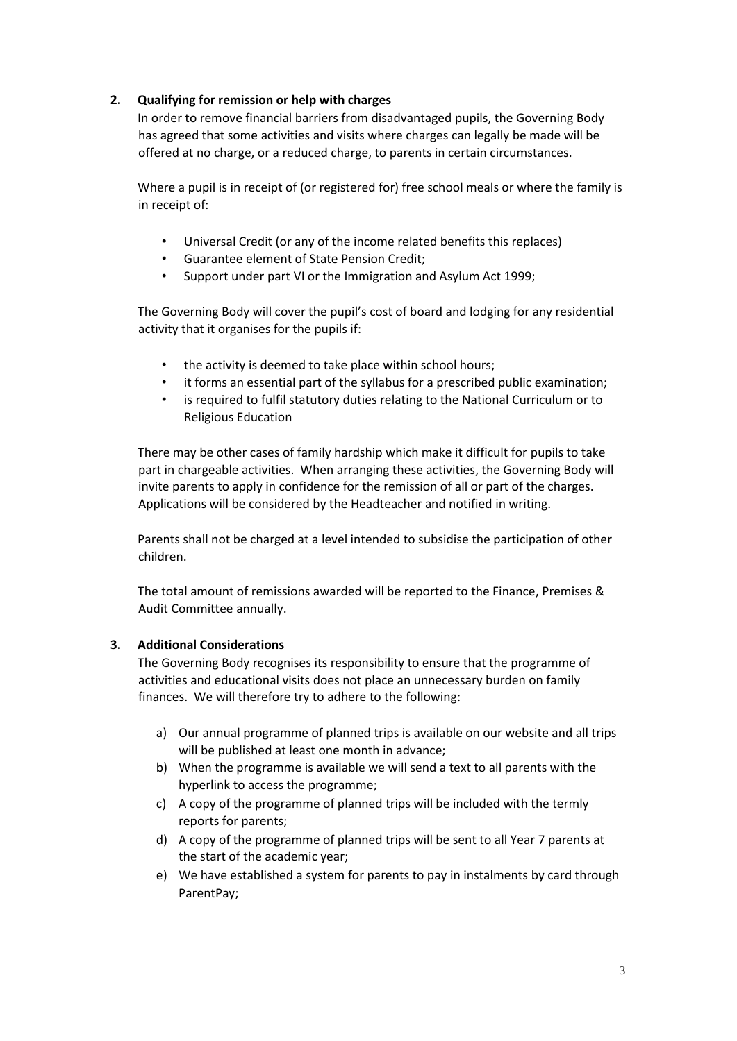# **2. Qualifying for remission or help with charges**

In order to remove financial barriers from disadvantaged pupils, the Governing Body has agreed that some activities and visits where charges can legally be made will be offered at no charge, or a reduced charge, to parents in certain circumstances.

Where a pupil is in receipt of (or registered for) free school meals or where the family is in receipt of:

- Universal Credit (or any of the income related benefits this replaces)
- Guarantee element of State Pension Credit;
- Support under part VI or the Immigration and Asylum Act 1999;

The Governing Body will cover the pupil's cost of board and lodging for any residential activity that it organises for the pupils if:

- the activity is deemed to take place within school hours;
- it forms an essential part of the syllabus for a prescribed public examination;
- is required to fulfil statutory duties relating to the National Curriculum or to Religious Education

There may be other cases of family hardship which make it difficult for pupils to take part in chargeable activities. When arranging these activities, the Governing Body will invite parents to apply in confidence for the remission of all or part of the charges. Applications will be considered by the Headteacher and notified in writing.

Parents shall not be charged at a level intended to subsidise the participation of other children.

The total amount of remissions awarded will be reported to the Finance, Premises & Audit Committee annually.

#### **3. Additional Considerations**

The Governing Body recognises its responsibility to ensure that the programme of activities and educational visits does not place an unnecessary burden on family finances. We will therefore try to adhere to the following:

- a) Our annual programme of planned trips is available on our website and all trips will be published at least one month in advance;
- b) When the programme is available we will send a text to all parents with the hyperlink to access the programme;
- c) A copy of the programme of planned trips will be included with the termly reports for parents;
- d) A copy of the programme of planned trips will be sent to all Year 7 parents at the start of the academic year;
- e) We have established a system for parents to pay in instalments by card through ParentPay;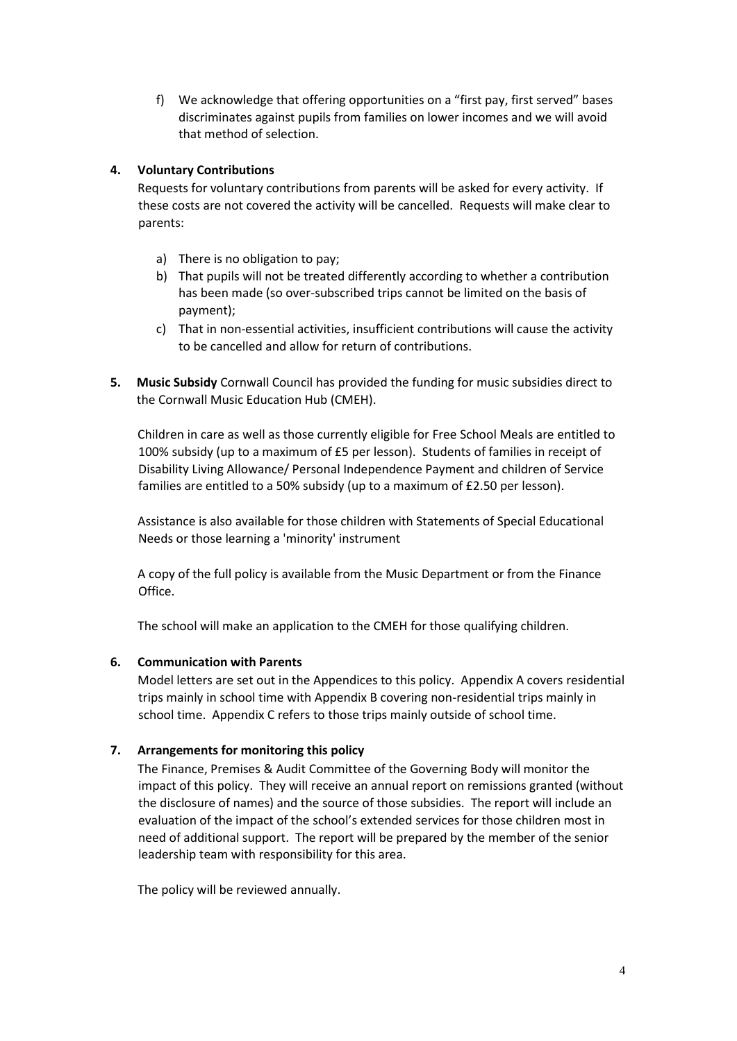f) We acknowledge that offering opportunities on a "first pay, first served" bases discriminates against pupils from families on lower incomes and we will avoid that method of selection.

# **4. Voluntary Contributions**

Requests for voluntary contributions from parents will be asked for every activity. If these costs are not covered the activity will be cancelled. Requests will make clear to parents:

- a) There is no obligation to pay;
- b) That pupils will not be treated differently according to whether a contribution has been made (so over-subscribed trips cannot be limited on the basis of payment);
- c) That in non-essential activities, insufficient contributions will cause the activity to be cancelled and allow for return of contributions.
- **5. Music Subsidy** Cornwall Council has provided the funding for music subsidies direct to the Cornwall Music Education Hub (CMEH).

Children in care as well as those currently eligible for Free School Meals are entitled to 100% subsidy (up to a maximum of £5 per lesson). Students of families in receipt of Disability Living Allowance/ Personal Independence Payment and children of Service families are entitled to a 50% subsidy (up to a maximum of £2.50 per lesson).

Assistance is also available for those children with Statements of Special Educational Needs or those learning a 'minority' instrument

A copy of the full policy is available from the Music Department or from the Finance Office.

The school will make an application to the CMEH for those qualifying children.

# **6. Communication with Parents**

Model letters are set out in the Appendices to this policy. Appendix A covers residential trips mainly in school time with Appendix B covering non-residential trips mainly in school time. Appendix C refers to those trips mainly outside of school time.

# **7. Arrangements for monitoring this policy**

The Finance, Premises & Audit Committee of the Governing Body will monitor the impact of this policy. They will receive an annual report on remissions granted (without the disclosure of names) and the source of those subsidies. The report will include an evaluation of the impact of the school's extended services for those children most in need of additional support. The report will be prepared by the member of the senior leadership team with responsibility for this area.

The policy will be reviewed annually.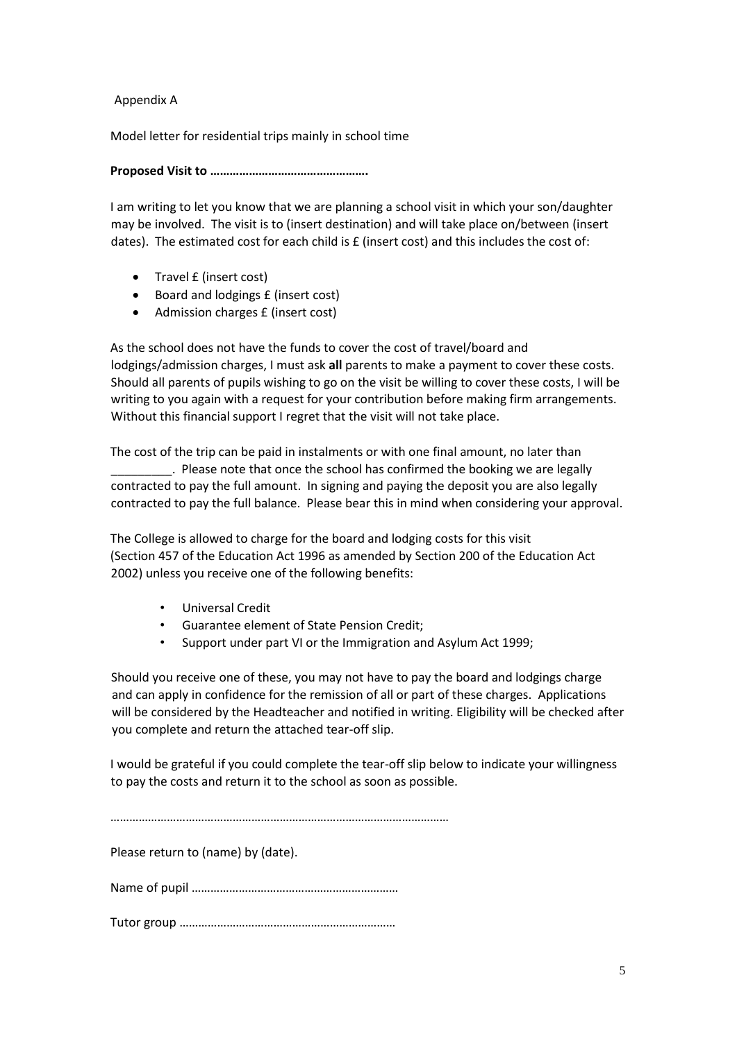#### Appendix A

Model letter for residential trips mainly in school time

**Proposed Visit to ………………………………………….**

I am writing to let you know that we are planning a school visit in which your son/daughter may be involved. The visit is to (insert destination) and will take place on/between (insert dates). The estimated cost for each child is £ (insert cost) and this includes the cost of:

- Travel £ (insert cost)
- Board and lodgings £ (insert cost)
- Admission charges £ (insert cost)

As the school does not have the funds to cover the cost of travel/board and lodgings/admission charges, I must ask **all** parents to make a payment to cover these costs. Should all parents of pupils wishing to go on the visit be willing to cover these costs, I will be writing to you again with a request for your contribution before making firm arrangements. Without this financial support I regret that the visit will not take place.

The cost of the trip can be paid in instalments or with one final amount, no later than \_\_\_\_\_\_\_\_\_. Please note that once the school has confirmed the booking we are legally contracted to pay the full amount. In signing and paying the deposit you are also legally contracted to pay the full balance. Please bear this in mind when considering your approval.

The College is allowed to charge for the board and lodging costs for this visit (Section 457 of the Education Act 1996 as amended by Section 200 of the Education Act 2002) unless you receive one of the following benefits:

- Universal Credit
- Guarantee element of State Pension Credit;
- Support under part VI or the Immigration and Asylum Act 1999;

Should you receive one of these, you may not have to pay the board and lodgings charge and can apply in confidence for the remission of all or part of these charges. Applications will be considered by the Headteacher and notified in writing. Eligibility will be checked after you complete and return the attached tear-off slip.

I would be grateful if you could complete the tear-off slip below to indicate your willingness to pay the costs and return it to the school as soon as possible.

………………………………………………………………………………………………

Please return to (name) by (date).

Name of pupil …………………………………………………………

Tutor group ……………………………………………………………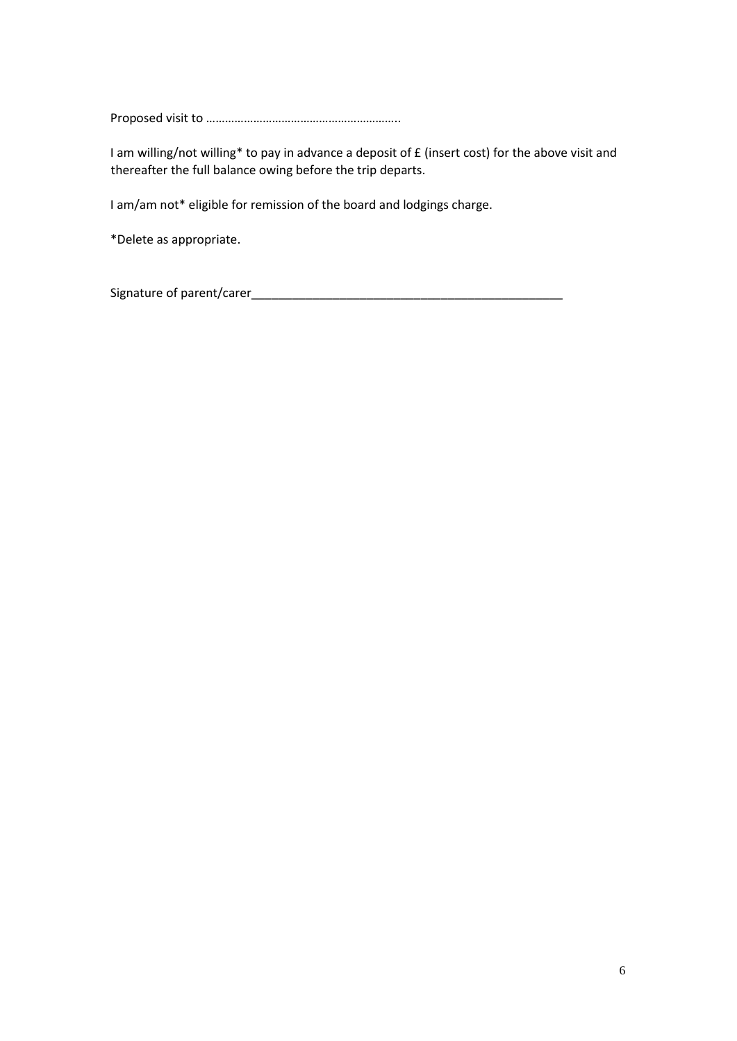Proposed visit to ……………………………………………………..

I am willing/not willing\* to pay in advance a deposit of £ (insert cost) for the above visit and thereafter the full balance owing before the trip departs.

I am/am not\* eligible for remission of the board and lodgings charge.

\*Delete as appropriate.

Signature of parent/carer\_\_\_\_\_\_\_\_\_\_\_\_\_\_\_\_\_\_\_\_\_\_\_\_\_\_\_\_\_\_\_\_\_\_\_\_\_\_\_\_\_\_\_\_\_\_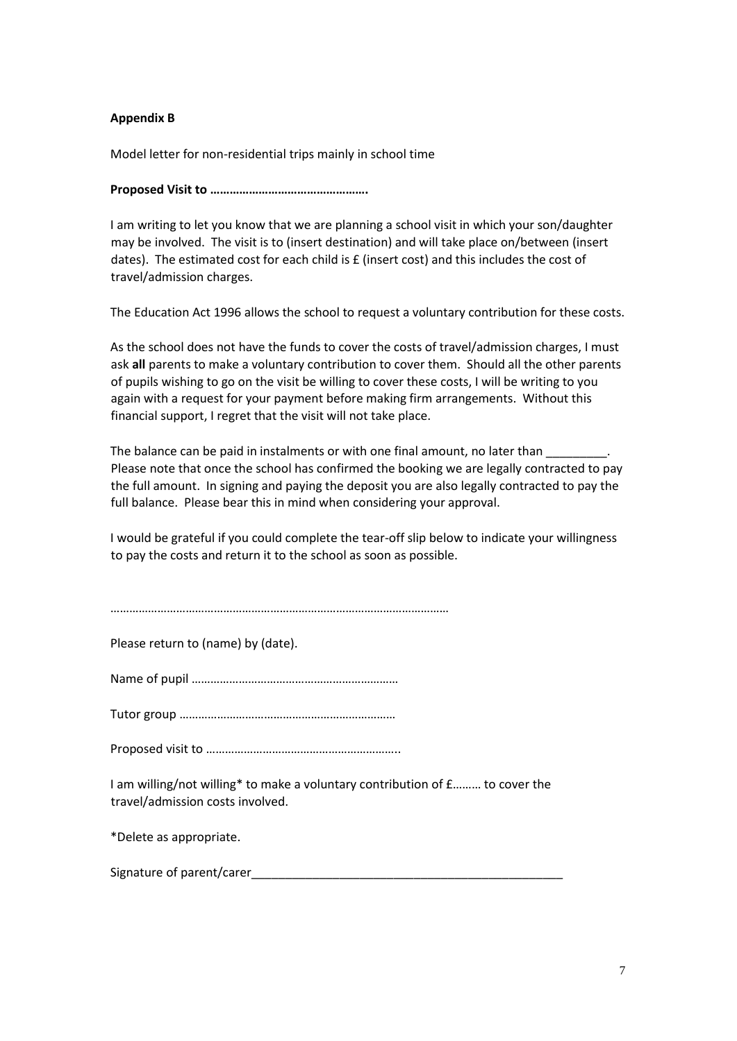#### **Appendix B**

Model letter for non-residential trips mainly in school time

**Proposed Visit to ………………………………………….**

I am writing to let you know that we are planning a school visit in which your son/daughter may be involved. The visit is to (insert destination) and will take place on/between (insert dates). The estimated cost for each child is £ (insert cost) and this includes the cost of travel/admission charges.

The Education Act 1996 allows the school to request a voluntary contribution for these costs.

As the school does not have the funds to cover the costs of travel/admission charges, I must ask **all** parents to make a voluntary contribution to cover them. Should all the other parents of pupils wishing to go on the visit be willing to cover these costs, I will be writing to you again with a request for your payment before making firm arrangements. Without this financial support, I regret that the visit will not take place.

The balance can be paid in instalments or with one final amount, no later than Please note that once the school has confirmed the booking we are legally contracted to pay the full amount. In signing and paying the deposit you are also legally contracted to pay the full balance. Please bear this in mind when considering your approval.

I would be grateful if you could complete the tear-off slip below to indicate your willingness to pay the costs and return it to the school as soon as possible.

………………………………………………………………………………………………

Please return to (name) by (date).

Name of pupil …………………………………………………………

Tutor group ……………………………………………………………

Proposed visit to ……………………………………………………..

I am willing/not willing\* to make a voluntary contribution of £……… to cover the travel/admission costs involved.

\*Delete as appropriate.

Signature of parent/carer